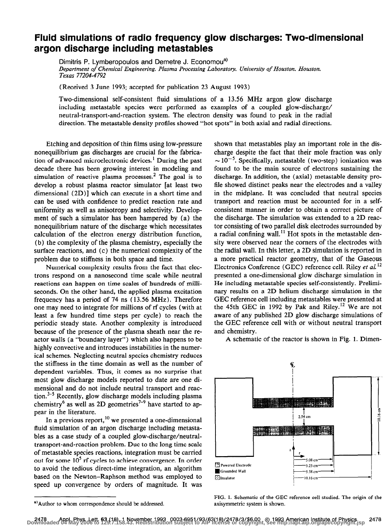## Fluid simulations of radio frequency glow discharges: Two-dimensional argon discharge including metastables

Dimitris P. Lymberopoulos and Demetre J. Economou<sup>a)</sup> Department of Chemical Engineering, Plasma Processing Laboratory, University of Houston, Houston, Texas 77204-4792

(Received 3 June 1993; accepted for publication 23 August 1993)

Two-dimensional self-consistent fluid simulations of a 13.56 MHz argon glow discharge including metastable species were performed as examples of a coupled glow-discharge/ neutral-transport-and-reaction system. The electron density was found to peak in the radial direction. The metastable density profiles showed "hot spots" in both axial and radial directions.

Etching and deposition of thin films using low-pressure nonequilibrium gas discharges are crucial for the fabrication of advanced microelectronic devices.<sup>1</sup> During the past decade there has been growing interest in modeling and simulation of reactive plasma processes.<sup>2</sup> The goal is to develop a robust plasma reactor simulator [at least two dimensional (2D)] which can execute in a short time and can be used with confidence to predict reaction rate and uniformity as well as anisotropy and selectivity. Development of such a simulator has been hampered by (a) the nonequilibrium nature of the discharge which necessitates calculation of the electron energy distribution function, (b) the complexity of the plasma chemistry, especially the surface reactions, and (c) the numerical complexity of the problem due to stiffness in both space and time.

Numerical complexity results from the fact that electrons respond on a nanosecond time scale while neutral reactions can happen on time scales of hundreds of milliseconds. On the other hand, the applied plasma excitation frequency has a period of 74 ns ( 13.56 MHz). Therefore one may need to integrate for millions of rf cycles (with at least a few hundred time steps per cycle) to reach the periodic steady state. Another complexity is introduced because of the presence of the plasma sheath near the reactor walls (a "boundary layer") which also happens to be highly convective and introduces instabilities in the numerical schemes. Neglecting neutral species chemistry reduces the stiffness in the time domain as well as the number of dependent variables. Thus, it comes as no surprise that most glow discharge models reported to date are one dimensional and do not include neutral transport and reaction.<sup>3-5</sup> Recently, glow discharge models including plasma chemistry<sup>6</sup> as well as 2D geometries<sup>7-9</sup> have started to appear in the literature.

In a previous report,  $^{10}$  we presented a one-dimensional fluid simulation of an argon discharge including metastables as a case study of a coupled glow-discharge/neutraltransport-and-reaction problem. Due to the long time scale of metastable species reactions, integration must be carried out for some  $10<sup>5</sup>$  rf cycles to achieve convergence. In order to avoid the tedious direct-time integration, an algorithm based on the Newton-Raphson method was employed to speed up convergence by orders of magnitude. It was

shown that metastables play an important role in the discharge despite the fact that their mole fraction was only  $\sim 10^{-5}$ . Specifically, metastable (two-step) ionization was found to be the main source of electrons sustaining the discharge. In addition, the (axial) metastable density profile showed distinct peaks near the electrodes and a valley in the midplane. It was concluded that neutral species transport and reaction must be accounted for in a selfconsistent manner in order to obtain a correct picture of the discharge. The simulation was extended to a 2D reactor consisting of two parallel disk electrodes surrounded by a radial confining wall.<sup>11</sup> Hot spots in the metastable density were observed near the corners of the electrodes with the radial wall. In this letter, a 2D simulation is reported in a more practical reactor geometry, that of the Gaseous Electronics Conference (GEC) reference cell. Riley et al.<sup>12</sup> presented a one-dimensional glow discharge simulation in He including metastable species self-consistently. Preliminary results on a 2D helium discharge simulation in the GEC reference cell including metastables were presented at the 45th GEC in 1992 by Pak and Riley.<sup>12</sup> We are not aware of any published 2D glow discharge simulations of the GEC reference cell with or without neutral transport and chemistry.

A schematic of the reactor is shown in Fig. 1. Dimen-



FIG. 1. Schematic of the GEC reference cell studied. The origin of the axisymmetric system is shown.

<sup>&</sup>quot;Author to whom correspondence should be addressed.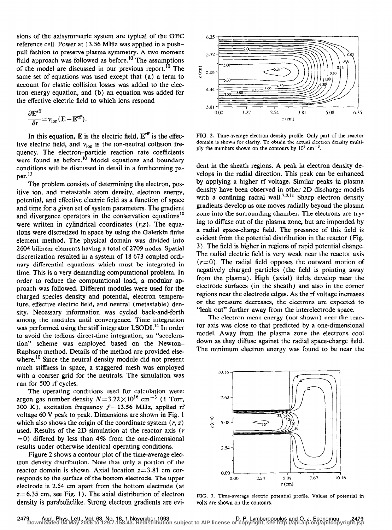sions of the axisymmetric system are typical of the GEC reference cell. Power at 13.56 MHz was applied in a pushpull fashion to preserve plasma symmetry. A two-moment fluid approach was followed as before.<sup>10</sup> The assumptions of the model are discussed in our previous report.<sup>10</sup> The same set of equations was used except that (a) a term to account for elastic collision losses was added to the electron energy equation, and (b) an equation was added for the effective electric field to which ions respond

$$
\frac{\partial \mathbf{E}^{\text{eff}}}{\partial t} = v_{\text{ion}} (\mathbf{E} - \mathbf{E}^{\text{eff}}).
$$

In this equation, E is the electric field,  $E^{\text{eff}}$  is the effective electric field, and  $v_{ion}$  is the ion-neutral collision frequency. The electron-particle reaction rate coefficients were found as before.<sup>10</sup> Model equations and boundary conditions will be discussed in detail in a forthcoming paper. $^{13}$ 

The problem consists of determining the electron, positive ion, and metastable atom density, electron energy, potential, and effective electric field as a function of space and time for a given set of system parameters. The gradient and divergence operators in the conservation equations<sup>10</sup> were written in cylindrical coordinates  $(r, z)$ . The equations were discretized in space by using the Galerkin finite element method. The physical domain was divided into 2604 bilinear elements having a total of 2709 nodes. Spatial discretization resulted in a system of 18 673 coupled ordinary differential equations which must be integrated in time. This is a very demanding computational problem. In order to reduce the computational load, a modular approach was followed. Different modules were used for the charged species density and potential, electron temperature, effective electric field, and neutral (metastable) density. Necessary information was cycled back-and-forth among the modules until convergence. Time integration was performed using the stiff integrator LSODI.<sup>14</sup> In order to avoid the tedious direct-time integration, an "acceleration" scheme was employed based on the Newton-Raphson method. Details of the method are provided elsewhere.<sup>10</sup> Since the neutral density module did not present much stiffness in space, a staggered mesh was employed with a coarser grid for the neutrals. The simulation was run for 500 rf cycles.

The operating conditions used for calculation were: argon gas number density  $N=3.22\times10^{16}$  cm<sup>-3</sup> (1 Torr, 300 K), excitation frequency  $f = 13.56$  MHz, applied rf voltage 60 V peak to peak. Dimensions are shown in Fig. 1 which also shows the origin of the coordinate system  $(r, z)$ used. Results of the 2D simulation at the reactor axis (r  $=0$ ) differed by less than 4% from the one-dimensional results under otherwise identical operating conditions.

Figure 2 shows a contour plot of the time-average electron density distribution. Note that only a portion of the reactor domain is shown. Axial location  $z=3.81$  cm corresponds to the surface of the bottom electrode. The upper electrode is 2.54 cm apart from the bottom electrode (at  $z=6.35$  cm, see Fig. 1). The axial distribution of electron density is paraboliclike. Strong electron gradients are evi-



FIG. 2. Time-average electron density profile. Only part of the reactor domain is shown for clarity. To obtain the actual electron density multiply the numbers shown on the contours by  $10^9$  cm<sup>-3</sup>.

dent in the sheath regions. A peak in electron density develops in the radial direction. This peak can be enhanced by applying a higher rf voltage. Similar peaks in plasma density have been observed in other 2D discharge models with a confining radial wall.<sup>7,8,11</sup> Sharp electron density gradients develop as one moves radially beyond the plasma zone into the surrounding chamber. The electrons are trying to diffuse out of the plasma zone, but are impended by a radial space-charge field. The presence of this field is evident from the potential distribution in the reactor (Fig. 3). The field is higher in regions of rapid potential change. The radial electric field is very weak near the reactor axis  $(r=0)$ . The radial field opposes the outward motion of negatively charged particles (the field is pointing away from the plasma). High (axial) fields develop near the electrode surfaces (in the sheath) and also in the corner regions near the electrode edges. As the rf voltage increases or the pressure decreases, the electrons are expected to "leak out" further away from the interelectrode space.

The electron mean energy (not shown) near the reactor axis was close to that predicted by a one-dimensional model. Away from the plasma zone the electrons cool down as they diffuse against the radial space-charge field. The minimum electron energy was found to be near the



FIG. 3. Time-average electric potential profile. Values of potential in volts are shown on the contours.

2479 – Appl. Phys. Lett., Vol. 63, No. 18, 1 November 1993<br>Downloaded 04 May 2006 to 129.7.158.43. Redistribution subject to AIP license or copyright, see http://apl.aip.org/apl/copyright.jsp